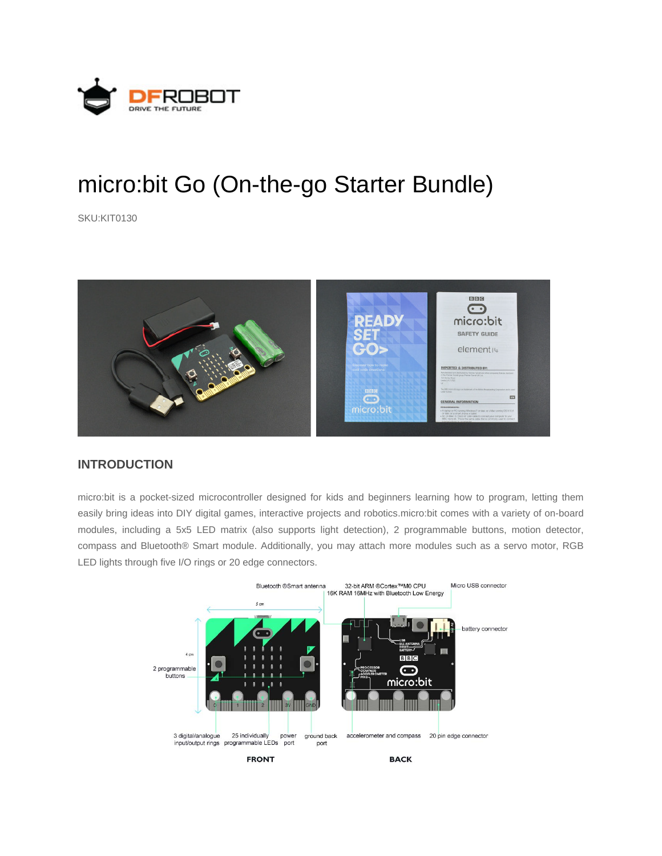

# micro:bit Go (On-the-go Starter Bundle)

SKU:KIT0130



## **INTRODUCTION**

micro:bit is a pocket-sized microcontroller designed for kids and beginners learning how to program, letting them easily bring ideas into DIY digital games, interactive projects and robotics.micro:bit comes with a variety of on-board modules, including a 5x5 LED matrix (also supports light detection), 2 programmable buttons, motion detector, compass and Bluetooth® Smart module. Additionally, you may attach more modules such as a servo motor, RGB LED lights through five I/O rings or 20 edge connectors.

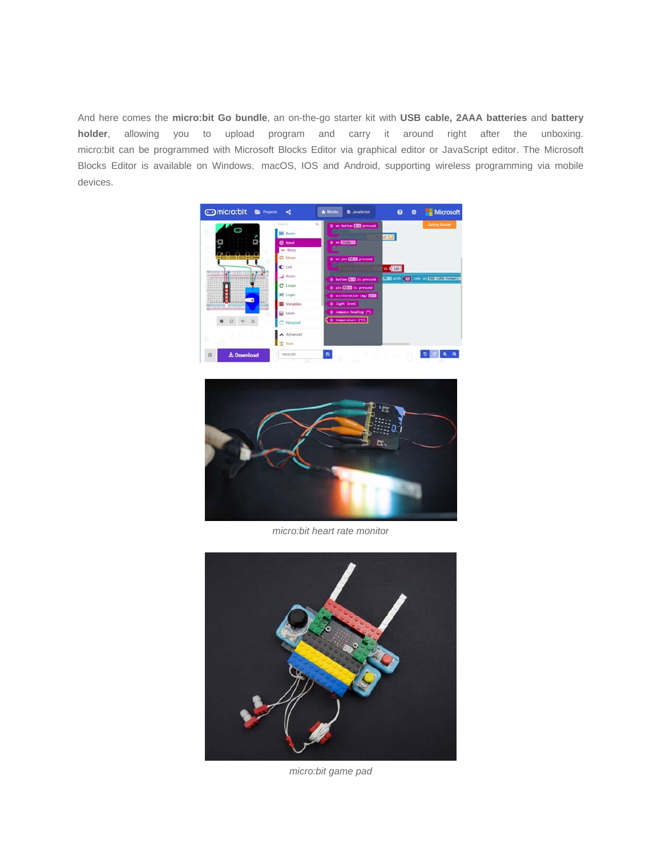And here comes the **micro:bit Go bundle**, an on-the-go starter kit with **USB cable, 2AAA batteries** and **battery holder**, allowing you to upload program and carry it around right after the unboxing. micro:bit can be programmed with Microsoft Blocks Editor via graphical editor or JavaScript editor. The Microsoft Blocks Editor is available on Windows, macOS, IOS and Android, supporting wireless programming via mobile devices.





*micro:bit heart rate monitor*



*micro:bit game pad*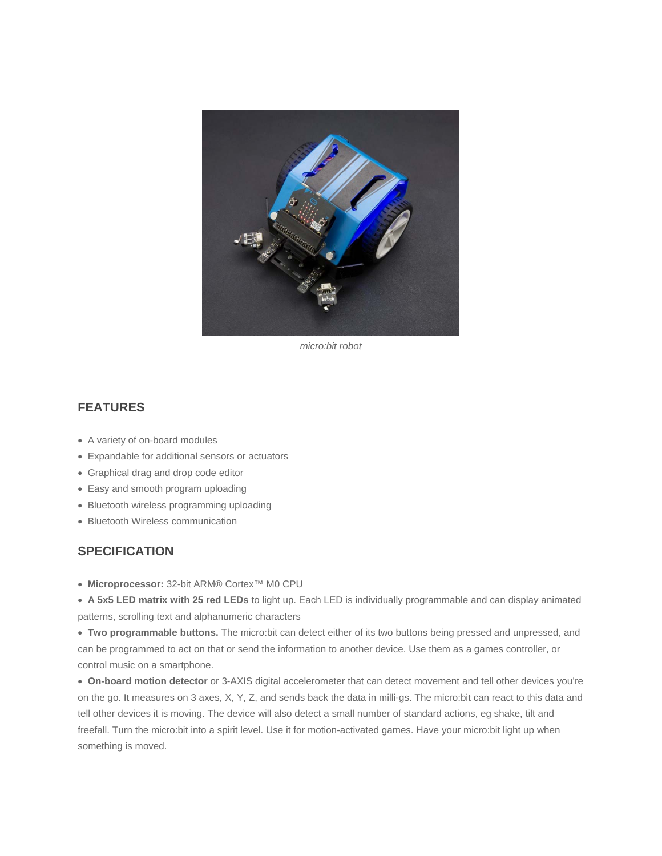

*micro:bit robot*

## **FEATURES**

- A variety of on-board modules
- Expandable for additional sensors or actuators
- Graphical drag and drop code editor
- Easy and smooth program uploading
- Bluetooth wireless programming uploading
- Bluetooth Wireless communication

#### **SPECIFICATION**

**Microprocessor:** 32-bit ARM® Cortex™ M0 CPU

 **A 5x5 LED matrix with 25 red LEDs** to light up. Each LED is individually programmable and can display animated patterns, scrolling text and alphanumeric characters

 **Two programmable buttons.** The micro:bit can detect either of its two buttons being pressed and unpressed, and can be programmed to act on that or send the information to another device. Use them as a games controller, or control music on a smartphone.

 **On-board motion detector** or 3-AXIS digital accelerometer that can detect movement and tell other devices you're on the go. It measures on 3 axes, X, Y, Z, and sends back the data in milli-gs. The micro:bit can react to this data and tell other devices it is moving. The device will also detect a small number of standard actions, eg shake, tilt and freefall. Turn the micro:bit into a spirit level. Use it for motion-activated games. Have your micro:bit light up when something is moved.